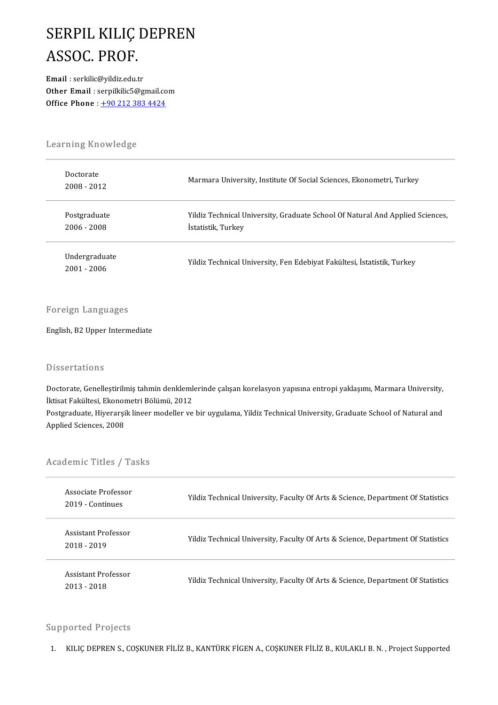## SERPIL KILIÇ DEPREN<br>ASSOC PROF **SERPIL KILIÇ**<br>ASSOC. PROF.<br>Email : serkilic@vildiz.edu.t ASSOC. PROF.<br>Email : serkilic@yildiz.edu.tr

Other Email : serpilkilic5@gmail.com Office Phone:  $+902123834424$ 

# Learning Knowledge<br>Learning Knowledge

| Learning Knowledge             |                                                                                                     |  |
|--------------------------------|-----------------------------------------------------------------------------------------------------|--|
| Doctorate<br>2008 - 2012       | Marmara University, Institute Of Social Sciences, Ekonometri, Turkey                                |  |
| Postgraduate<br>2006 - 2008    | Yildiz Technical University, Graduate School Of Natural And Applied Sciences,<br>Istatistik, Turkey |  |
| Undergraduate<br>$2001 - 2006$ | Yildiz Technical University, Fen Edebiyat Fakültesi, İstatistik, Turkey                             |  |

#### Foreign Languages

English,B2Upper Intermediate

#### **Dissertations**

Dissertations<br>Doctorate, Genelleştirilmiş tahmin denklemlerinde çalışan korelasyon yapısına entropi yaklaşımı, Marmara University,<br>İktiset Felsültesi, Ekonometri Bölümü, 2012 Basser tatrons<br>Doctorate, Genelleştirilmiş tahmin denkleml<br>İktisat Fakültesi, Ekonometri Bölümü, 2012<br>Postaraduata, Hiverarsik lineer modeller ve Doctorate, Genelleştirilmiş tahmin denklemlerinde çalışan korelasyon yapısına entropi yaklaşımı, Marmara University,<br>İktisat Fakültesi, Ekonometri Bölümü, 2012<br>Postgraduate, Hiyerarşik lineer modeller ve bir uygulama, Yild

İktisat Fakültesi, Ekonometri Bölümü, 2012<br>Postgraduate, Hiyerarşik lineer modeller ve bir uygulama, Yildiz Technical University, Graduate School of Natural and<br>Applied Sciences, 2008

# Applied Sciences, 2008<br>Academic Titles / Tasks

| Academic Titles / Tasks                 |                                                                                  |  |
|-----------------------------------------|----------------------------------------------------------------------------------|--|
| Associate Professor<br>2019 - Continues | Yildiz Technical University, Faculty Of Arts & Science, Department Of Statistics |  |
| Assistant Professor<br>2018 - 2019      | Yildiz Technical University, Faculty Of Arts & Science, Department Of Statistics |  |
| Assistant Professor<br>2013 - 2018      | Yildiz Technical University, Faculty Of Arts & Science, Department Of Statistics |  |

#### Supported Projects

1. KILIÇ DEPREN S., COŞKUNER FİLİZ B., KANTÜRK FİGEN A., COŞKUNER FİLİZ B., KULAKLI B. N., Project Supported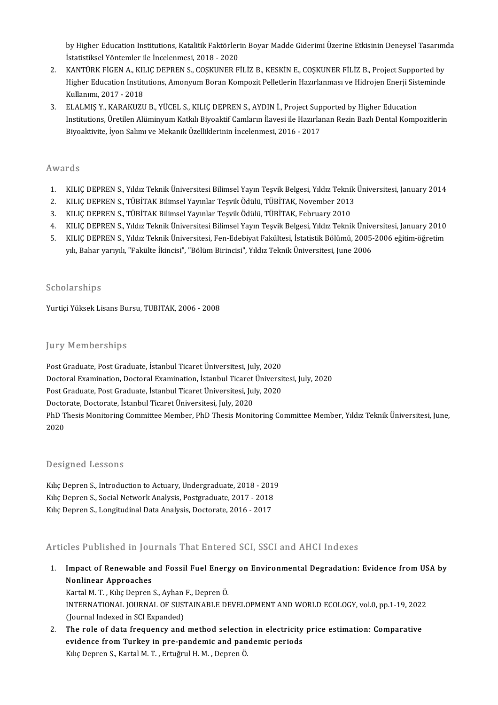by Higher Education Institutions, Katalitik Faktörlerin Boyar Madde Giderimi Üzerine Etkisinin Deneysel Tasarımda<br>İstatistiksel Yöntemler ile İnselenmesi, 2019, 2020 **İstatistiksel Yöntemin Institutions, Katalitik Faktörler**<br>İstatistiksel Yöntemler ile İncelenmesi, 2018 - 2020<br>KANTÜRK FİCEN A. KU IC DERREN S. COSKUNER E by Higher Education Institutions, Katalitik Faktörlerin Boyar Madde Giderimi Üzerine Etkisinin Deneysel Tasarımı<br>1991 İstatistiksel Yöntemler ile İncelenmesi, 2018 - 2020<br>2. KANTÜRK FİGEN A., KILIÇ DEPREN S., COŞKUNER FİLİ

- İstatistiksel Yöntemler ile İncelenmesi, 2018 2020<br>KANTÜRK FİGEN A., KILIÇ DEPREN S., COŞKUNER FİLİZ B., KESKİN E., COŞKUNER FİLİZ B., Project Supported by<br>Higher Education Institutions, Amonyum Boran Kompozit Pelletleri 2. KANTÜRK FIGEN A., KILIC DEPREN S., COSKUNER FILIZ B., KESKIN E., COSKUNER FILIZ B., Project Supported by 3. Higher Education Institutions, Amonyum Boran Kompozit Pelletlerin Hazırlanması ve Hidrojen Enerji Sist<br>3. ELALMIŞ Y., KARAKUZU B., YÜCEL S., KILIÇ DEPREN S., AYDIN İ., Project Supported by Higher Education<br>3. ELALMIŞ Y.
- Institutions, Üretilen Alüminyum Katkılı Biyoaktif Camların İlavesi ile Hazırlanan Rezin Bazlı Dental Kompozitlerin<br>Biyoaktivite, İyon Salımı ve Mekanik Özelliklerinin İncelenmesi, 2016 2017 ELALMIŞ Y., KARAKUZU B., YÜCEL S., KILIÇ DEPREN S., AYDIN İ., Project Sup<br>Institutions, Üretilen Alüminyum Katkılı Biyoaktif Camların İlavesi ile Hazırla<br>Biyoaktivite, İyon Salımı ve Mekanik Özelliklerinin İncelenmesi, 201

#### Awards

- 1. KILIÇ DEPREN S., Yıldız Teknik Üniversitesi Bilimsel Yayın Teşvik Belgesi, Yıldız Teknik Üniversitesi, January 2014<br>2. KILIC DEPREN S.. TÜBİTAK Bilimsel Yavınlar Tesvik Ödülü. TÜBİTAK. November 2013 2. KILIÇ DEPREN S., Yıldız Teknik Üniversitesi Bilimsel Yayın Teşvik Belgesi, Yıldız Teknik<br>2. KILIÇ DEPREN S., TÜBİTAK Bilimsel Yayınlar Teşvik Ödülü, TÜBİTAK, November 2013<br>2. KU IÇ DEPREN S., TÜBİTAK Bilimsel Yayınlar T 3. KILIÇ DEPREN S., Yıldız Teknik Üniversitesi Bilimsel Yayın Teşvik Belgesi, Yıldız Teknil<br>2. KILIÇ DEPREN S., TÜBİTAK Bilimsel Yayınlar Teşvik Ödülü, TÜBİTAK, November 2013<br>3. KILIÇ DEPREN S., TÜBİTAK Bilimsel Yayınlar T
- 
- 
- 3. KILIÇ DEPREN S., TÜBİTAK Bilimsel Yayınlar Teşvik Ödülü, TÜBİTAK, February 2010<br>4. KILIÇ DEPREN S., Yıldız Teknik Üniversitesi Bilimsel Yayın Teşvik Belgesi, Yıldız Teknik Üniversitesi, January 2010
- 3. KILIÇ DEPREN S., TÜBİTAK Bilimsel Yayınlar Teşvik Ödülü, TÜBİTAK, February 2010<br>4. KILIÇ DEPREN S., Yıldız Teknik Üniversitesi Bilimsel Yayın Teşvik Belgesi, Yıldız Teknik Üniversitesi, January 2010<br>5. KILIÇ DEPREN S., KILIÇ DEPREN S., Yıldız Teknik Üniversitesi Bilimsel Yayın Teşvik Belgesi, Yıldız Teknik Ünive<br>KILIÇ DEPREN S., Yıldız Teknik Üniversitesi, Fen-Edebiyat Fakültesi, İstatistik Bölümü, 2005-<br>yılı, Bahar yarıyılı, "Fakülte İk yılı, Bahar yarıyılı, "Fakülte İkincisi", "Bölüm Birincisi", Yıldız Teknik Üniversitesi, June 2006<br>Scholarships

Yurtiçi Yüksek Lisans Bursu, TUBITAK, 2006 - 2008

#### **Jury Memberships**

Post Graduate, Post Graduate, İstanbul Ticaret Üniversitesi, July, 2020 Jury Trembersmps<br>Post Graduate, Post Graduate, İstanbul Ticaret Üniversitesi, July, 2020<br>Doctoral Examination, Doctoral Examination, İstanbul Ticaret Üniversitesi, July, 2020<br>Post Craduate, Post Craduate, İstanbul Ticaret Post Graduate, Post Graduate, İstanbul Ticaret Üniversitesi, July, 2020<br>Doctoral Examination, Doctoral Examination, İstanbul Ticaret Üniversit<br>Post Graduate, Post Graduate, İstanbul Ticaret Üniversitesi, July, 2020<br>Doctora Post Graduate, Post Graduate, İstanbul Ticaret Üniversitesi, July, 2020<br>Doctorate, Doctorate, İstanbul Ticaret Üniversitesi, July, 2020 Post Graduate, Post Graduate, İstanbul Ticaret Üniversitesi, July, 2020<br>Doctorate, Doctorate, İstanbul Ticaret Üniversitesi, July, 2020<br>PhD Thesis Monitoring Committee Member, PhD Thesis Monitoring Committee Member, Yıldız Docto<br>PhD T<br>2020 Designed Lessons

Designed Lessons<br>Kılıç Depren S., Introduction to Actuary, Undergraduate, 2018 - 2019<br>Kılıç Depren S. Secial Netwerk Apelysis Restareduate, 2017 - 2019 Beorgned Eessons<br>Kılıç Depren S., Introduction to Actuary, Undergraduate, 2018 - 2019<br>Kılıç Depren S., Social Network Analysis, Postgraduate, 2017 - 2018<br>Kılıç Depren S. Longitudinel Data Analysis, Dostgraduate, 2016 - 201 Kılıç Depren S., Introduction to Actuary, Undergraduate, 2018 - 201<br>Kılıç Depren S., Social Network Analysis, Postgraduate, 2017 - 2018<br>Kılıç Depren S., Longitudinal Data Analysis, Doctorate, 2016 - 2017

# Kılıç Depren S., Longitudinal Data Analysis, Doctorate, 2016 - 2017<br>Articles Published in Journals That Entered SCI, SSCI and AHCI Indexes

Inticles Published in Journals That Entered SCI, SSCI and AHCI Indexes<br>1. Impact of Renewable and Fossil Fuel Energy on Environmental Degradation: Evidence from USA by<br>Nonlinear Annreaches Impact of Renewable a<br>Impact of Renewable a<br>Nonlinear Approaches Impact of Renewable and Fossil Fuel Energ<br>Nonlinear Approaches<br>Kartal M. T. , Kılıç Depren S., Ayhan F., Depren Ö.<br>INTERNATIONAL JOUPNAL OF SUSTAINARLE DE

Nonlinear Approaches<br>Kartal M. T. , Kılıç Depren S., Ayhan F., Depren Ö.<br>INTERNATIONAL JOURNAL OF SUSTAINABLE DEVELOPMENT AND WORLD ECOLOGY, vol.0, pp.1-19, 2022<br>(Journal Indoved in SCLEvnanded) Kartal M. T. , Kılıç Depren S., Ayhan<br>INTERNATIONAL JOURNAL OF SUST<br>(Journal Indexed in SCI Expanded)<br>The role of data frequency and 2. INTERNATIONAL JOURNAL OF SUSTAINABLE DEVELOPMENT AND WORLD ECOLOGY, vol.0, pp.1-19, 2022<br>(Journal Indexed in SCI Expanded)<br>2. The role of data frequency and method selection in electricity price estimation: Comparative<br>

(Journal Indexed in SCI Expanded)<br>The role of data frequency and method selection in electricity price estimation: Comparative<br>evidence from Turkey in pre-pandemic and pandemic periods Kılıç Depren S., Kartal M. T., Ertuğrul H. M., Depren Ö.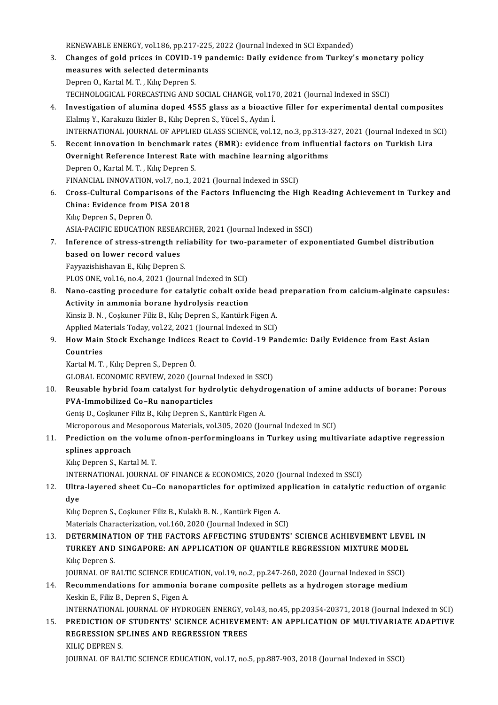RENEWABLE ENERGY, vol.186, pp.217-225, 2022 (Journal Indexed in SCI Expanded)<br>Changes of gald prises in COVID 19 nondemis: Daily syidenes from Turkey'

- RENEWABLE ENERGY, vol.186, pp.217-225, 2022 (Journal Indexed in SCI Expanded)<br>3. Changes of gold prices in COVID-19 pandemic: Daily evidence from Turkey's monetary policy RENEWABLE ENERGY, vol.186, pp.217-225<br>Changes of gold prices in COVID-19 p;<br>measures with selected determinants Changes of gold prices in COVID-1<br>measures with selected determina<br>Depren O., Kartal M. T. , Kılıç Depren S.<br>TECUNOLOCICAL FORECASTING AND 1 measures with selected determinants<br>Depren O., Kartal M. T. , Kılıç Depren S.<br>TECHNOLOGICAL FORECASTING AND SOCIAL CHANGE, vol.170, 2021 (Journal Indexed in SSCI)
- 4. Investigation of alumina doped 45S5 glass as a bioactive filler for experimental dental composites Elalmış Y., Karakuzu Ikizler B., Kılıç Depren S., Yücel S., Aydın İ.
- INTERNATIONAL JOURNAL OF APPLIED GLASS SCIENCE, vol.12, no.3, pp.313-327, 2021 (Journal Indexed in SCI) Elalmış Y., Karakuzu Ikizler B., Kılıç Depren S., Yücel S., Aydın İ.<br>195. NTERNATIONAL JOURNAL OF APPLIED GLASS SCIENCE, vol.12, no.3, pp.313-327, 2021 (Journal Indexed in S.<br>5. Recent innovation in benchmark rates (BMR): INTERNATIONAL JOURNAL OF APPLIED GLASS SCIENCE, vol.12, no.3, pp.313-3<br>Recent innovation in benchmark rates (BMR): evidence from influen<br>Overnight Reference Interest Rate with machine learning algorithms<br>Denren O. Kertal M Recent innovation in benchmark r<br>Overnight Reference Interest Rate<br>Depren O., Kartal M.T. , Kılıç Depren S.<br>EINANCIAL INNOVATION vol 7 no 1 2 Overnight Reference Interest Rate with machine learning algorithms<br>Depren O., Kartal M. T. , Kılıç Depren S.<br>FINANCIAL INNOVATION, vol.7, no.1, 2021 (Journal Indexed in SSCI)

1. Depren O., Kartal M. T. , Kılıç Depren S.<br>6. Cross-Cultural Comparisons of the Factors Influencing the High Reading Achievement in Turkey and<br>6. Cross-Cultural Comparisons of the Factors Influencing the High Reading Ach FINANCIAL INNOVATION, vol.7, no.1,<br>Cross-Cultural Comparisons of th<br>China: Evidence from PISA 2018 **Cross-Cultural Compar<br>China: Evidence from F<br>Kılıç Depren S., Depren Ö.**<br>ASIA BACIEIC EDUCATION China: Evidence from PISA 2018<br>Kılıç Depren S., Depren Ö.<br>ASIA-PACIFIC EDUCATION RESEARCHER, 2021 (Journal Indexed in SSCI)

- Kılıç Depren S., Depren Ö.<br>ASIA-PACIFIC EDUCATION RESEARCHER, 2021 (Journal Indexed in SSCI)<br>7. Inference of stress-strength reliability for two-parameter of exponentiated Gumbel distribution<br>based on lower reserd volue ASIA-PACIFIC EDUCATION RESEAR<br>Inference of stress-strength re<br>based on lower record values Inference of stress-strength rel<br>based on lower record values<br>Fayyazishishavan E., Kılıç Depren S.<br>PLOS ONE val 16 no 4,2921 (Journ based on lower record values<br>Fayyazishishavan E., Kılıç Depren S.<br>PLOS ONE, vol.16, no.4, 2021 (Journal Indexed in SCI)<br>Nane gesting presedure for satelytis sebelt evis 8. Fayyazishishavan E., Kılıç Depren S.<br>PLOS ONE, vol.16, no.4, 2021 (Journal Indexed in SCI)<br>8. Nano-casting procedure for catalytic cobalt oxide bead preparation from calcium-alginate capsules:<br>Activity in ammonia borane
- PLOS ONE, vol.16, no.4, 2021 (Journal Indexed in SCI)<br>Nano-casting procedure for catalytic cobalt oxid<br>Activity in ammonia borane hydrolysis reaction<br>Kinsiz P. N., Coskuper Filiz P., Kyks Depren S., Kantürk Nano-casting procedure for catalytic cobalt oxide bead<br>Activity in ammonia borane hydrolysis reaction<br>Kinsiz B.N., Coşkuner Filiz B., Kılıç Depren S., Kantürk Figen A.<br>Annlied Materials Teday, vol 22, 2021 (Journal Indoved Activity in ammonia borane hydrolysis reaction<br>Kinsiz B. N. , Coşkuner Filiz B., Kılıç Depren S., Kantürk Figen A.<br>Applied Materials Today, vol.22, 2021 (Journal Indexed in SCI)<br>How Main Stock Exchange Indices Beast to Cov
- Kinsiz B. N. , Coşkuner Filiz B., Kılıç Depren S., Kantürk Figen A.<br>Applied Materials Today, vol.22, 2021 (Journal Indexed in SCI)<br>9. How Main Stock Exchange Indices React to Covid-19 Pandemic: Daily Evidence from East Applied Materials Today, vol.22, 2021 (Journal Indexed in SCI)<br>How Main Stock Exchange Indices React to Covid-19 Par<br>Countries<br>Kartal M. T. , Kilic Depren S., Depren Ö. How Main Stock Exchange Indices<br>Countries<br>Kartal M. T. , Kılıç Depren S., Depren Ö.<br>CLOPAL ECONOMIC PEVIEW 2020 (Jo

GLOBAL ECONOMIC REVIEW, 2020 (Journal Indexed in SSCI)

Kartal M. T. , Kılıç Depren S., Depren Ö.<br>GLOBAL ECONOMIC REVIEW, 2020 (Journal Indexed in SSCI)<br>10. Reusable hybrid foam catalyst for hydrolytic dehydrogenation of amine adducts of borane: Porous<br>PVA Immobilized Co. B GLOBAL ECONOMIC REVIEW, 2020 (Journal<br>Reusable hybrid foam catalyst for hydr<br>PVA-Immobilized Co–Ru nanoparticles<br>Cenis D. Cosluner Filiz P. Kike Denren S. K. Reusable hybrid foam catalyst for hydrolytic dehydr<br>PVA-Immobilized Co–Ru nanoparticles<br>Geniş D., Coşkuner Filiz B., Kılıç Depren S., Kantürk Figen A.<br>Miaroporove and Mesoporove Meterials vol 205–2020 (Jo) PVA-Immobilized Co–Ru nanoparticles<br>Geniş D., Coşkuner Filiz B., Kılıç Depren S., Kantürk Figen A.<br>Microporous and Mesoporous Materials, vol.305, 2020 (Journal Indexed in SCI)<br>Predistion on the volume ofnon norformingleans

6eniş D., Coşkuner Filiz B., Kılıç Depren S., Kantürk Figen A.<br>Microporous and Mesoporous Materials, vol.305, 2020 (Journal Indexed in SCI)<br>11. Prediction on the volume ofnon-performingloans in Turkey using multivariate ad Microporous and M<br><mark>Prediction on the</mark><br>splines approach<br><sup>Kilis</sup> Penren S. Kart Prediction on the volum<br>splines approach<br>Kılıç Depren S., Kartal M. T.<br>INTERNATIONAL JOUPNAL

splines approach<br>Kılıç Depren S., Kartal M. T.<br>INTERNATIONAL JOURNAL OF FINANCE & ECONOMICS, 2020 (Journal Indexed in SSCI)

## Kılıç Depren S., Kartal M. T.<br>12. Ultra-layered sheet Cu–Co nanoparticles for optimized application in catalytic reduction of organic<br>12. Ultra-layered sheet Cu–Co nanoparticles for optimized application in catalytic reduc INTE<br>Ultr:<br>dye Ultra-layered sheet Cu–Co nanoparticles for optimized a<br>dye<br>Kılıç Depren S., Coşkuner Filiz B., Kulaklı B. N. , Kantürk Figen A.<br>Materials Characterization val 160, 2020 (Journal Indoved in Sc

dye<br>Kılıç Depren S., Coşkuner Filiz B., Kulaklı B. N. , Kantürk Figen A.<br>Materials Characterization, vol.160, 2020 (Journal Indexed in SCI)

Kılıç Depren S., Coşkuner Filiz B., Kulaklı B. N. , Kantürk Figen A.<br>Materials Characterization, vol.160, 2020 (Journal Indexed in SCI)<br>13. DETERMINATION OF THE FACTORS AFFECTING STUDENTS' SCIENCE ACHIEVEMENT LEVEL IN<br>TURK Materials Characterization, vol.160, 2020 (Journal Indexed in SCI)<br>DETERMINATION OF THE FACTORS AFFECTING STUDENTS' SCIENCE ACHIEVEMENT LEVE!<br>TURKEY AND SINGAPORE: AN APPLICATION OF QUANTILE REGRESSION MIXTURE MODEL<br>Kike D **DETERMINAT<br>TURKEY AND<br>Kılıç Depren S.<br>JOUPNAL OF P.** TURKEY AND SINGAPORE: AN APPLICATION OF QUANTILE REGRESSION MIXTURE MODEL Kilic Depren S.

JOURNAL OF BALTIC SCIENCE EDUCATION, vol.19, no.2, pp.247-260, 2020 (Journal Indexed in SSCI)

14. Recommendations for ammonia borane composite pellets as a hydrogen storage medium<br>Keskin E., Filiz B., Depren S., Figen A. Recommendations for ammonia borane composite pellets as a hydrogen storage medium<br>Keskin E., Filiz B., Depren S., Figen A.<br>INTERNATIONAL JOURNAL OF HYDROGEN ENERGY, vol.43, no.45, pp.20354-20371, 2018 (Journal Indexed in S

Keskin E., Filiz B., Depren S., Figen A.<br>15. PREDICTION OF STUDENTS' SCIENCE ACHIEVEMENT: AN APPLICATION OF MULTIVARIATE ADAPTIVE<br>15. PREDICTION OF STUDENTS' SCIENCE ACHIEVEMENT: AN APPLICATION OF MULTIVARIATE ADAPTIVE INTERNATIONAL JOURNAL OF HYDROGEN ENERGY, v<br>PREDICTION OF STUDENTS' SCIENCE ACHIEVEM<br>REGRESSION SPLINES AND REGRESSION TREES<br>VILIC DEPREN S 15. PREDICTION OF STUDENTS' SCIENCE ACHIEVEMENT: AN APPLICATION OF MULTIVARIATE ADAPTIVE REGRESSION SPLINES AND REGRESSION TREES<br>KILIÇ DEPREN S.

JOURNAL OF BALTIC SCIENCE EDUCATION, vol.17, no.5, pp.887-903, 2018 (Journal Indexed in SSCI)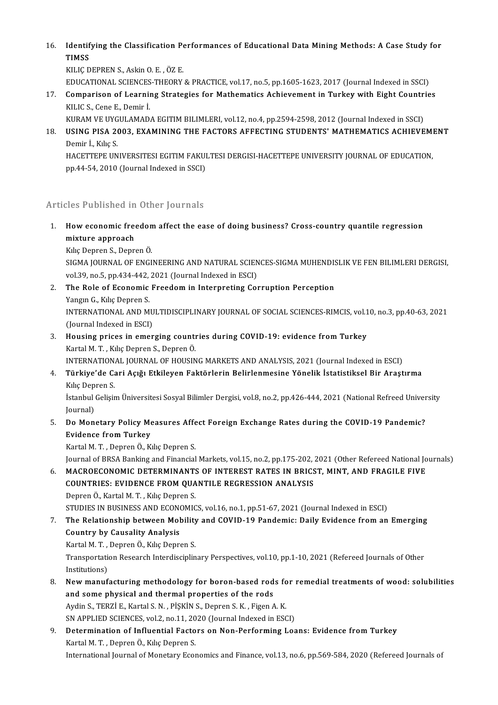16. Identifying the Classification Performances of Educational Data Mining Methods: A Case Study for<br>TIMSS Identif<br>TIMSS<br><sup>KILIC</sup> P **Identifying the Classification Pe<br>TIMSS<br>KILIÇ DEPREN S., Askin O. E. , ÖZ E.<br>EDUCATIONAL SCIENCES THEODY** TIMSS<br>KILIÇ DEPREN S., Askin O. E. , ÖZ E.<br>EDUCATIONAL SCIENCES-THEORY & PRACTICE, vol.17, no.5, pp.1605-1623, 2017 (Journal Indexed in SSCI)<br>Companison of Leopning Strategies for Methematics Ashievement in Tunkey with Fig

- KILIÇ DEPREN S., Askin O. E. , ÖZ E.<br>EDUCATIONAL SCIENCES-THEORY & PRACTICE, vol.17, no.5, pp.1605-1623, 2017 (Journal Indexed in SSCI)<br>17. Comparison of Learning Strategies for Mathematics Achievement in Turkey with Eight EDUCATIONAL SCIENCES<br>Comparison of Learnii<br>KILIC S., Cene E., Demir İ.<br>KURAM VE UVCULAMAD Comparison of Learning Strategies for Mathematics Achievement in Turkey with Eight Countri<br>KILIC S., Cene E., Demir İ.<br>KURAM VE UYGULAMADA EGITIM BILIMLERI, vol.12, no.4, pp.2594-2598, 2012 (Journal Indexed in SSCI)<br>USINC
	-
- KILIC S., Cene E., Demir İ.<br>18. USING PISA 2003, EXAMINING THE FACTORS AFFECTING STUDENTS' MATHEMATICS ACHIEVEMENT<br>18. USING PISA 2003, EXAMINING THE FACTORS AFFECTING STUDENTS' MATHEMATICS ACHIEVEMENT KURAM VE UYGULAMADA EGITIM BILIMLERI, vol.12, no.4, pp.2594-2598, 2012 (Journal Indexed in SSCI)<br>USING PISA 2003, EXAMINING THE FACTORS AFFECTING STUDENTS' MATHEMATICS ACHIEVE<br>Demir İ., Kılıç S. USING PISA 2003, EXAMINING THE FACTORS AFFECTING STUDENTS' MATHEMATICS ACHIEVEMI<br>Demir İ., Kılıç S.<br>HACETTEPE UNIVERSITESI EGITIM FAKULTESI DERGISI-HACETTEPE UNIVERSITY JOURNAL OF EDUCATION,<br>nn 44 E4 2010 (Journal Indoved

HACETTEPE UNIVERSITESI EGITIM FAKULTESI DERGISI-HACETTEPE UNIVERSITY JOURNAL OF EDUCATION,<br>pp.44-54, 2010 (Journal Indexed in SSCI)

#### Articles Published in Other Journals

- Inticles Published in Other Journals<br>1. How economic freedom affect the ease of doing business? Cross-country quantile regression<br>miyture approach mes a dononed an<br>How economic free<br>Mike Denren S. Denre
	- mixture approach<br>Kılıç Depren S., Depren Ö.

mixture approach<br>Kılıç Depren S., Depren Ö.<br>SIGMA JOURNAL OF ENGINEERING AND NATURAL SCIENCES-SIGMA MUHENDISLIK VE FEN BILIMLERI DERGISI,<br>VRL39 no 5 np.434.443.3931 (Jaunnal Indoved in ESCI) Kılıç Depren S., Depren Ö.<br>SIGMA JOURNAL OF ENGINEERING AND NATURAL SCIEN<br>vol.39, no.5, pp.434-442, 2021 (Journal Indexed in ESCI)<br>The Bole of Esenomis Exeedom in Internreting Co SIGMA JOURNAL OF ENGINEERING AND NATURAL SCIENCES-SIGMA MUHENDIS<br>vol.39, no.5, pp.434-442, 2021 (Journal Indexed in ESCI)<br>2. The Role of Economic Freedom in Interpreting Corruption Perception<br>Vangu C. Kike Denrop S.

Vol.39, no.5, pp.434-442,<br>The Role of Economic<br>Yangın G., Kılıç Depren S.<br>INTERNATIONAL AND M The Role of Economic Freedom in Interpreting Corruption Perception<br>Yangın G., Kılıç Depren S.<br>INTERNATIONAL AND MULTIDISCIPLINARY JOURNAL OF SOCIAL SCIENCES-RIMCIS, vol.10, no.3, pp.40-63, 2021<br>(Jaurnal Indoved in ESCI) Yangın G., Kılıç Depren S.<br>INTERNATIONAL AND MU<br>(Journal Indexed in ESCI)<br>Housing prises in omer

- 3. INTERNATIONAL AND MULTIDISCIPLINARY JOURNAL OF SOCIAL SCIENCES-RIMCIS, vol.1<br>3. Housing prices in emerging countries during COVID-19: evidence from Turkey<br>3. Housing prices in emerging countries during COVID-19: evidenc (Journal Indexed in ESCI)<br>3. Housing prices in emerging countries during COVID-19: evidence from Turkey<br>Kartal M.T., Kılıç Depren S., Depren Ö. Housing prices in emerging countries during COVID-19: evidence from Turkey<br>Kartal M. T. , Kılıç Depren S., Depren Ö.<br>INTERNATIONAL JOURNAL OF HOUSING MARKETS AND ANALYSIS, 2021 (Journal Indexed in ESCI)<br>Türkiye'de Cari Asv
- 4. Türkiye'de Cari Açığı Etkileyen Faktörlerin Belirlenmesine Yönelik İstatistiksel Bir Araştırma INTERNATION.<br><mark>Türkiye'de Ca</mark><br>Kılıç Depren S.<br>İstanbul Celisir Türkiye'de Cari Açığı Etkileyen Faktörlerin Belirlenmesine Yönelik İstatistiksel Bir Araştırma<br>Kılıç Depren S.<br>İstanbul Gelişim Üniversitesi Sosyal Bilimler Dergisi, vol.8, no.2, pp.426-444, 2021 (National Refreed Universi

Kılıç Dep<br>İstanbul<br>Journal)<br>De Men 5. Istanbul Gelişim Üniversitesi Sosyal Bilimler Dergisi, vol.8, no.2, pp.426-444, 2021 (National Refreed Univer<br>5. Do Monetary Policy Measures Affect Foreign Exchange Rates during the COVID-19 Pandemic?<br>5. Do Monetary Pol

## Journal)<br>5. Do Monetary Policy Measures Affect Foreign Exchange Rates during the COVID-19 Pandemic?<br>5. Evidence from Turkey Evidence from Turkey<br>Kartal M. T. , Depren Ö., Kılıç Depren S.<br>Journal of BRSA Banking and Financial Markets, vol.15, no.2, pp.175-202, 2021 (Other Refereed National Journals)<br>MACROECONOMIC DETERMINANTS OF INTEREST RATES I

Kartal M.T., Depren Ö., Kılıç Depren S.

Kartal M. T. , Depren Ö., Kılıç Depren S.<br>Journal of BRSA Banking and Financial Markets, vol.15, no.2, pp.175-202, 2021 (Other Refereed National Jo<br>6. MACROECONOMIC DETERMINANTS OF INTEREST RATES IN BRICST, MINT, AND F Journal of BRSA Banking and Financial Markets, vol.15, no.2, pp.175-202, .<br>MACROECONOMIC DETERMINANTS OF INTEREST RATES IN BRICS<br>COUNTRIES: EVIDENCE FROM QUANTILE REGRESSION ANALYSIS<br>Donron Ö. Kartal M.T., Kike Donron S MACROECONOMIC DETERMINANT<mark>:</mark><br>COUNTRIES: EVIDENCE FROM QUA<br>Depren Ö., Kartal M. T. , Kılıç Depren S.<br>STUDIES IN PUSINESS AND ECONOMIC COUNTRIES: EVIDENCE FROM QUANTILE REGRESSION ANALYSIS<br>Depren Ö., Kartal M. T. , Kılıç Depren S.<br>STUDIES IN BUSINESS AND ECONOMICS, vol.16, no.1, pp.51-67, 2021 (Journal Indexed in ESCI)<br>The Belationship between Mebility an

Depren Ö., Kartal M. T. , Kılıç Depren S.<br>STUDIES IN BUSINESS AND ECONOMICS, vol.16, no.1, pp.51-67, 2021 (Journal Indexed in ESCI)<br>7. The Relationship between Mobility and COVID-19 Pandemic: Daily Evidence from an Emer STUDIES IN BUSINESS AND ECONO<br>The Relationship between Mol<br>Country by Causality Analysis<br>Kartal M. T. Danren Ö. Kike Danre The Relationship between Mobility<br>Country by Causality Analysis<br>Kartal M. T. , Depren Ö., Kılıç Depren S.<br>Transportation Besearsh Interdisciplin

Kartal M. T., Depren Ö., Kılıç Depren S.

Country by Causality Analysis<br>Kartal M. T. , Depren Ö., Kılıç Depren S.<br>Transportation Research Interdisciplinary Perspectives, vol.10, pp.1-10, 2021 (Refereed Journals of Other<br>Institutions) Transportation Research Interdisciplinary Perspectives, vol.10, pp.1-10, 2021 (Refereed Journals of Other<br>Institutions)<br>8. New manufacturing methodology for boron-based rods for remedial treatments of wood: solubilities<br>an

Institutions)<br>New manufacturing methodology for boron-based rod<br>and some physical and thermal properties of the rods<br>Ardin S. TEDZLE, Kartal S.N., Diskin s. Donron S.K., Eigen A New manufacturing methodology for boron-based rods fo<br>and some physical and thermal properties of the rods<br>Aydin S., TERZİ E., Kartal S. N. , PİŞKİN S., Depren S. K. , Figen A. K.<br>SN APPLIED SCIENCES .val 3, no.11, 2020 (J and some physical and thermal properties of the rods<br>Aydin S., TERZİ E., Kartal S. N. , PİŞKİN S., Depren S. K. , Figen A. K.<br>SN APPLIED SCIENCES, vol.2, no.11, 2020 (Journal Indexed in ESCI)

9. Aydin S., TERZİ E., Kartal S. N. , PİŞKİN S., Depren S. K. , Figen A. K.<br>19. Determination of Influential Factors on Non-Performing Loans: Evidence from Turkey<br>19. Determination of Influential Factors on Non-Performing SN APPLIED SCIENCES, vol.2, no.11, 20<br>Determination of Influential Facto<br>Kartal M. T. , Depren Ö., Kılıç Depren S.<br>International Journal of Monetary Essa Kartal M. T. , Depren Ö., Kılıç Depren S.<br>International Journal of Monetary Economics and Finance, vol.13, no.6, pp.569-584, 2020 (Refereed Journals of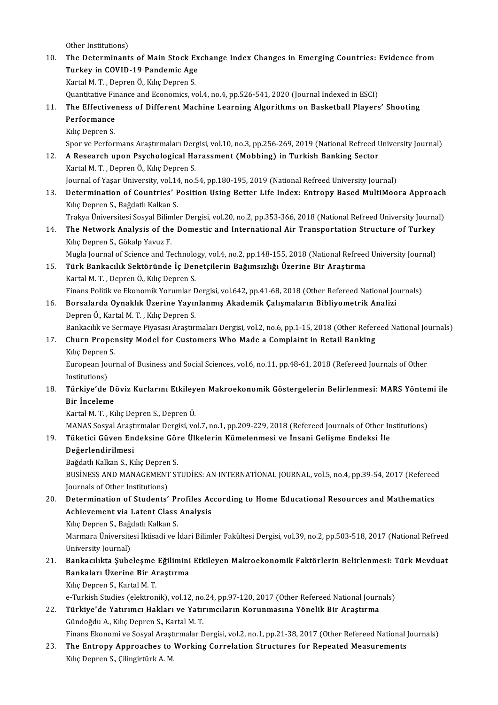Other Institutions)

0ther Institutions)<br>10. The Determinants of Main Stock Exchange Index Changes in Emerging Countries: Evidence from Other Institutions)<br>The Determinants of Main Stock Ex<br>Turkey in COVID-19 Pandemic Age<br>Kartal M.T., Denrer Ö. Kike Denren S Turkey in COVID-19 Pandemic Age<br>Kartal M.T., Depren Ö., Kılıç Depren S. Turkey in COVID-19 Pandemic Age<br>Kartal M. T. , Depren Ö., Kılıç Depren S.<br>Quantitative Finance and Economics, vol.4, no.4, pp.526-541, 2020 (Journal Indexed in ESCI)<br>The Effectiveness of Different Mashine Learning Algerith

#### Kartal M. T. , Depren Ö., Kılıç Depren S.<br>Quantitative Finance and Economics, vol.4, no.4, pp.526-541, 2020 (Journal Indexed in ESCI)<br>11. The Effectiveness of Different Machine Learning Algorithms on Basketball Players Quantitative Fir<br>The Effective<br>Performance<br>Kiko Denren S The Effective<br>Performance<br>Kılıç Depren S.<br>Spor ve Perfor Performance<br>Kılıç Depren S.<br>Spor ve Performans Araştırmaları Dergisi, vol.10, no.3, pp.256-269, 2019 (National Refreed University Journal)

## Kılıç Depren S.<br>Spor ve Performans Araştırmaları Dergisi, vol.10, no.3, pp.256-269, 2019 (National Refreed U<br>12. A Research upon Psychological Harassment (Mobbing) in Turkish Banking Sector<br>Kartal M.T. Deprep Ö. Kılış Depr Spor ve Performans Araştırmaları Der<sub>i</sub><br>A Research upon Psychological Ha<br>Kartal M. T. , Depren Ö., Kılıç Depren S.<br>Journal of Yasar University val 14 no b A Research upon Psychological Harassment (Mobbing) in Turkish Banking Sector<br>Kartal M. T. , Depren Ö., Kılıç Depren S.<br>Journal of Yaşar University, vol.14, no.54, pp.180-195, 2019 (National Refreed University Journal)<br>Dete

Kartal M. T. , Depren Ö., Kılıç Depren S.<br>Journal of Yaşar University, vol.14, no.54, pp.180-195, 2019 (National Refreed University Journal)<br>13. Determination of Countries' Position Using Better Life Index: Entropy Bas Journal of Yaşar University, vol.14, no.54, pp.180-195, 2019 (National Refreed University Journal)<br>Determination of Countries' Position Using Better Life Index: Entropy Based MultiMoo<br>Kilıç Depren S., Bağdatlı Kalkan S. Determination of Countries' Position Using Better Life Index: Entropy Based MultiMoora Approach<br>Kılıç Depren S., Bağdatlı Kalkan S.<br>Trakya Üniversitesi Sosyal Bilimler Dergisi, vol.20, no.2, pp.353-366, 2018 (National Refr

Trakya Üniversitesi Sosyal Bilimler Dergisi, vol.20, no.2, pp.353-366, 2018 (National Refreed University Journal)

14. The Network Analysis of the Domestic and International Air Transportation Structure of Turkey<br>Kilic Depren S., Gökalp Yavuz F. The Network Analysis of the Domestic and International Air Transportation Structure of Turkey<br>Kılıç Depren S., Gökalp Yavuz F.<br>Mugla Journal of Science and Technology, vol.4, no.2, pp.148-155, 2018 (National Refreed Univer

#### 15. Türk Bankacılık Sektöründe İç Denetçilerin Bağımsızlığı Üzerine Bir Araştırma Mugla Journal of Science and Technolo<br>**Türk Bankacılık Sektöründe İç Der**<br>Kartal M. T. , Depren Ö., Kılıç Depren S.<br>Finane Belitik*u*e Ekonomik Yonumlar F Finans Politik ve Ekonomik Yorumlar Dergisi, vol.642, pp.41-68, 2018 (Other Refereed National Journals)

#### 16. Borsalarda Oynaklık Üzerine Yayınlanmış Akademik Çalışmaların Bibliyometrik Analizi Depren Ö., Kartal M.T., Kılıç Depren S. Borsalarda Oynaklık Üzerine Yayınlanmış Akademik Çalışmaların Bibliyometrik Analizi<br>Depren Ö., Kartal M. T. , Kılıç Depren S.<br>Bankacılık ve Sermaye Piyasası Araştırmaları Dergisi, vol.2, no.6, pp.1-15, 2018 (Other Refereed

#### 17. Churn Propensity Model for Customers Who Made a Complaint in Retail Banking<br>Kilic Depren S. Bankacılık ve S<br>Churn Propel<br>Kılıç Depren S.<br>European Jour Churn Propensity Model for Customers Who Made a Complaint in Retail Banking<br>Kılıç Depren S.<br>European Journal of Business and Social Sciences, vol.6, no.11, pp.48-61, 2018 (Refereed Journals of Other<br>Institutions)

Kılıç Depren<br>European Jou<br>Institutions)<br>Türkiye'de European Journal of Business and Social Sciences, vol.6, no.11, pp.48-61, 2018 (Refereed Journals of Other<br>Institutions)<br>Pir Inseleme Boviz Kurlarını Etkileyen Makroekonomik Göstergelerin Belirlenmesi: MARS Yöntemi ile<br>Pir

## Institutions)<br><mark>Türkiye'de D</mark>e<br>Bir İnceleme<br>Kartal M.T. Kı Türkiye'de Döviz Kurlarını Etkiley<br>Bir İnceleme<br>Kartal M. T. , Kılıç Depren S., Depren Ö.<br>MANAS Sosual Arastumalar Darsisi ve

Bir İnceleme<br>Kartal M. T. , Kılıç Depren S., Depren Ö.<br>MANAS Sosyal Araştırmalar Dergisi, vol.7, no.1, pp.209-229, 2018 (Refereed Journals of Other Institutions)<br>Tüketisi Güyen Endeksine Göre Ülkelerin Kümelenmesi ve İnsan Kartal M. T. , Kılıç Depren S., Depren Ö.<br>MANAS Sosyal Araştırmalar Dergisi, vol.7, no.1, pp.209-229, 2018 (Refereed Journals of Other In<br>19. Tüketici Güven Endeksine Göre Ülkelerin Kümelenmesi ve İnsani Gelişme Endeks MANAS Sosyal Araşt<br><mark>Tüketici Güven En</mark><br>Değerlendirilmesi<br>Beğdatlı Kalkan S. Kı

# Tüketici Güven Endeksine Gör<br>Değerlendirilmesi<br>Bağdatlı Kalkan S., Kılıç Depren S.<br>BUSİNESS AND MANACEMENT SI

Bağdatlı Kalkan S., Kılıç Depren S.

Değerlendirilmesi<br>Bağdatlı Kalkan S., Kılıç Depren S.<br>BUSİNESS AND MANAGEMENT STUDİES: AN INTERNATİONAL JOURNAL, vol.5, no.4, pp.39-54, 2017 (Refereed<br>Journals of Other Institutions) BUSINESS AND MANAGEMENT STUDIES: AN INTERNATIONAL JOURNAL, vol.5, no.4, pp.39-54, 2017 (Refereed<br>Journals of Other Institutions)<br>20. Determination of Students' Profiles According to Home Educational Resources and Mathemati

## Journals of Other Institutions)<br>Determination of Students' Profiles Ac<br>Achievement via Latent Class Analysis<br>Kiks Donron S. Bağdatlı Kalkan S Determination of Students' Pr<br>Achievement via Latent Class<br>Kılıç Depren S., Bağdatlı Kalkan S.<br>Marmara Üniversitesi İltisadi ve İ

Achievement via Latent Class Analysis<br>Kılıç Depren S., Bağdatlı Kalkan S.<br>Marmara Üniversitesi İktisadi ve İdari Bilimler Fakültesi Dergisi, vol.39, no.2, pp.503-518, 2017 (National Refreed Kılıç Depren S., Bağı<br>Marmara Üniversite<br>University Journal)<br>Pankasılıkta Suba 1. Marmara Üniversitesi İktisadi ve İdari Bilimler Fakültesi Dergisi, vol.39, no.2, pp.503-518, 2017 (National Refreed<br>1. Bankacılıkta Şubeleşme Eğilimini Etkileyen Makroekonomik Faktörlerin Belirlenmesi: Türk Mevduat<br>1. B

## University Journal)<br>Bankacılıkta Şubeleşme Eğilimini<br>Bankaları Üzerine Bir Araştırma<br>Kılıs Denren S. Kartal M.T. Bankacılıkta Şubeleşme<br>Bankaları Üzerine Bir Al<br>Kılıç Depren S., Kartal M. T.<br>e Turkish Studies Calaktron Bankaları Üzerine Bir Araştırma<br>Kılıç Depren S., Kartal M. T.<br>e-Turkish Studies (elektronik), vol.12, no.24, pp.97-120, 2017 (Other Refereed National Journals)<br>Türkiye'de Yatınımaı Hakları ve Yatınımaların Korunmasına Yöne

Kılıç Depren S., Kartal M. T.<br>22. Türkish Studies (elektronik), vol.12, no.24, pp.97-120, 2017 (Other Refereed National Journ<br>22. Türkiye'de Yatırımcı Hakları ve Yatırımcıların Korunmasına Yönelik Bir Araştırma<br>6. Gündeğdu Türkiye'de Yatırımcı Hakları ve Yatırımcıların Korunmasına Yönelik Bir Araştırma<br>Gündoğdu A., Kılıç Depren S., Kartal M. T.

Finans Ekonomi ve Sosyal Araştırmalar Dergisi, vol.2, no.1, pp.21-38, 2017 (Other Refereed National Journals)

23. The Entropy Approaches to Working Correlation Structures for Repeated Measurements Kılıç Depren S., Çilingirtürk A.M.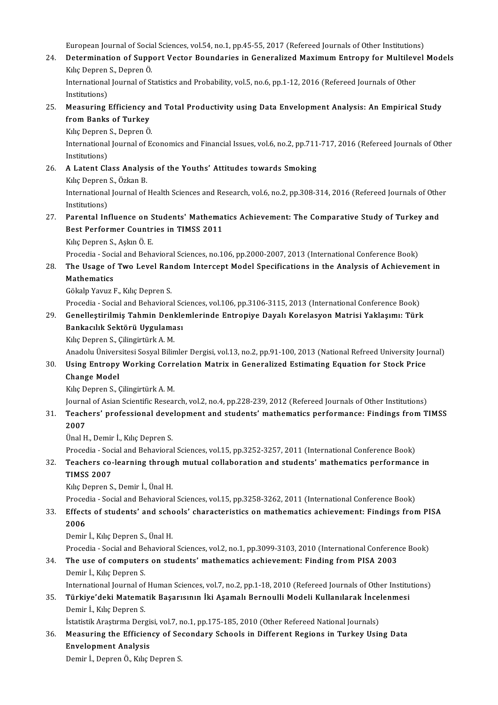European Journal of Social Sciences, vol.54, no.1, pp.45-55, 2017 (Refereed Journals of Other Institutions)<br>Determination of Sunnert Vestor Boundaries in Concrelized Maximum Entrepy for Multilevel

24. Determination of Support Vector Boundaries in Generalized Maximum Entropy for Multilevel Models<br>Kilic Depren S., Depren Ö. European Journal of Socia<br>Determination of Supp<br>Kılıç Depren S., Depren Ö.<br>International Journal of S. Determination of Support Vector Boundaries in Generalized Maximum Entropy for Multileve<br>Kılıç Depren S., Depren Ö.<br>International Journal of Statistics and Probability, vol.5, no.6, pp.1-12, 2016 (Refereed Journals of Other

Kılıç Depren<br>International<br>Institutions)<br>Measuring International Journal of Statistics and Probability, vol.5, no.6, pp.1-12, 2016 (Refereed Journals of Other<br>Institutions)<br>25. Measuring Efficiency and Total Productivity using Data Envelopment Analysis: An Empirical Study<br>

Institutions)<br>Measuring Efficiency a<br>from Banks of Turkey<br><sup>Kilic Donron S. Donron Ö</sup> Measuring Efficiency a:<br>from Banks of Turkey<br>Kılıç Depren S., Depren Ö.<br>International Iournal of E

fr**om Banks of Turkey**<br>Kılıç Depren S., Depren Ö.<br>International Journal of Economics and Financial Issues, vol.6, no.2, pp.711-717, 2016 (Refereed Journals of Other Kiliç Depren<br>International<br>Institutions)<br>A Latent Cle International Journal of Economics and Financial Issues, vol.6, no.2, pp.711<br>Institutions)<br>26. A Latent Class Analysis of the Youths' Attitudes towards Smoking<br>Kike Denren S. Özkan B.

Institutions)<br>**A Latent Class Analys**<br>Kılıç Depren S., Özkan B.<br>International Jeurnal of A Latent Class Analysis of the Youths' Attitudes towards Smoking<br>Kılıç Depren S., Özkan B.<br>International Journal of Health Sciences and Research, vol.6, no.2, pp.308-314, 2016 (Refereed Journals of Other<br>Institutions) Kiliç Depren<br>International<br>Institutions)<br>Perental Int

#### 27. Parental Influence on Students'Mathematics Achievement: The Comparative Study of Turkey and Institutions)<br>Parental Influence on Students' Mathema<br>Best Performer Countries in TIMSS 2011<br>KikaDenren S. Askin Ö. E Parental Influence on S<br>Best Performer Countr<br>Kılıç Depren S., Aşkın Ö. E.<br>Presedia, Sasial and Baba Best Performer Countries in TIMSS 2011<br>Kılıç Depren S., Aşkın Ö. E.<br>Procedia - Social and Behavioral Sciences, no.106, pp.2000-2007, 2013 (International Conference Book)<br>The Heage of Tuya Lavel Bandom Intersent Model Speci

#### Kılıç Depren S., Aşkın Ö. E.<br>Procedia - Social and Behavioral Sciences, no.106, pp.2000-2007, 2013 (International Conference Book)<br>28. The Usage of Two Level Random Intercept Model Specifications in the Analysis of Achi Procedia - Soci<br><mark>The Usage of</mark><br>Mathematics<br>Cëkala Young I The Usage of Two Level Ran<br>Mathematics<br>Gökalp Yavuz F., Kılıç Depren S.<br>Prosedia - Sosial and Pebayiara Mathematics<br>Gökalp Yavuz F., Kılıç Depren S.<br>Procedia - Social and Behavioral Sciences, vol.106, pp.3106-3115, 2013 (International Conference Book)

## Gökalp Yavuz F., Kılıç Depren S.<br>Procedia - Social and Behavioral Sciences, vol.106, pp.3106-3115, 2013 (International Conference Book)<br>29. Genelleştirilmiş Tahmin Denklemlerinde Entropiye Dayalı Korelasyon Matrisi Yak Procedia - Social and Behavioral Sc<br>Genelleştirilmiş Tahmin Denkle<br>Bankacılık Sektörü Uygulaması<br>Kılıc Donron S. Gilingirtürk A. M Genelleştirilmiş Tahmin Denl<br>Bankacılık Sektörü Uygulama<br>Kılıç Depren S., Çilingirtürk A. M.<br>Anadolu Üniversitesi Sesval Bilin

B<mark>ankacılık Sektörü Uygulaması</mark><br>Kılıç Depren S., Çilingirtürk A. M.<br>Anadolu Üniversitesi Sosyal Bilimler Dergisi, vol.13, no.2, pp.91-100, 2013 (National Refreed University Journal)

## Kılıç Depren S., Çilingirtürk A. M.<br>Anadolu Üniversitesi Sosyal Bilimler Dergisi, vol.13, no.2, pp.91-100, 2013 (National Refreed University Jou<br>30. Using Entropy Working Correlation Matrix in Generalized Estimating Eq Anadolu Ünivers<br>Using Entropy<br>Change Model<br><sup>Kilis Denren S. (</sup> Using Entropy Working Corr<br>Change Model<br>Kılıç Depren S., Çilingirtürk A. M.<br>Journal of Asian Sciantific Bosson

Change Model<br>Kılıç Depren S., Çilingirtürk A. M.<br>Journal of Asian Scientific Research, vol.2, no.4, pp.228-239, 2012 (Refereed Journals of Other Institutions)<br>Teashers' professional development and students' mathematiss pe

Kılıç Depren S., Çilingirtürk A. M.<br>Journal of Asian Scientific Research, vol.2, no.4, pp.228-239, 2012 (Refereed Journals of Other Institutions)<br>31. Teachers' professional development and students' mathematics performa Journa<br><mark>Teach</mark><br>2007<br><sup>Ünol H</sub></sup>

Ünal H., Demir İ., Kılıç Depren S.

2007<br>Ünal H., Demir İ., Kılıç Depren S.<br>Procedia - Social and Behavioral Sciences, vol.15, pp.3252-3257, 2011 (International Conference Book)<br>Teashers se Jearning through mutual sellsheration and students' methematiss perf Ünal H., Demir İ., Kılıç Depren S.<br>Procedia - Social and Behavioral Sciences, vol.15, pp.3252-3257, 2011 (International Conference Book)<br>32. Teachers co-learning through mutual collaboration and students' mathematics pe

# Procedia - Soc<br><mark>Teachers co-</mark><br>TIMSS 2007<br>Kike Depren S

Teachers co-learning throug<br>TIMSS 2007<br>Kılıç Depren S., Demir İ., Ünal H.<br>Presedia - Sesial and Pebaujara

TIMSS 2007<br>Kılıç Depren S., Demir İ., Ünal H.<br>Procedia - Social and Behavioral Sciences, vol.15, pp.3258-3262, 2011 (International Conference Book)<br>Effects of students' and schools' sharesteristies on mathematics ashioveme

#### Kılıç Depren S., Demir İ., Ünal H.<br>Procedia - Social and Behavioral Sciences, vol.15, pp.3258-3262, 2011 (International Conference Book)<br>33. Effects of students' and schools' characteristics on mathematics achievement: Fin Proced<br>Effect<br>2006<br><sup>Domir</sup> Effects of students' and schools' characteristics on mathematics achievement: Findings from PISA<br>2006<br>Demir İ., Kılıç Depren S., Ünal H.

Procedia - Social and Behavioral Sciences, vol.2, no.1, pp.3099-3103, 2010 (International Conference Book)

## Demir İ., Kılıç Depren S., Ünal H.<br>Procedia - Social and Behavioral Sciences, vol.2, no.1, pp.3099-3103, 2010 (International Conferen<br>34. The use of computers on students' mathematics achievement: Finding from PISA 2003<br>De Procedia - Social and Be<br>**The use of computer:**<br>Demir İ., Kılıç Depren S.<br>International Journal of The use of computers on students' mathematics achievement: Finding from PISA 2003<br>Demir İ., Kılıç Depren S.<br>International Journal of Human Sciences, vol.7, no.2, pp.1-18, 2010 (Refereed Journals of Other Institutions)<br>Türk

## Demir İ., Kılıç Depren S.<br>195. Türkiye'deki Matematik Başarısının İki Aşamalı Bernoulli Modeli Kullanılarak İncelenmesi<br>195. Türkiye'deki Matematik Başarısının İki Aşamalı Bernoulli Modeli Kullanılarak İncelenmesi International Journal of Human Sciences, vol.7, no.2, pp.1-18, 2010 (Refereed Journals of Other Institutions)<br>Türkiye'deki Matematik Başarısının İki Aşamalı Bernoulli Modeli Kullanılarak İncelenmesi<br>Demir İ., Kılıç Depren Türkiye'deki Matematik Başarısının İki Aşamalı Bernoulli Modeli Kullanılarak İnce<br>Demir İ., Kılıç Depren S.<br>İstatistik Araştırma Dergisi, vol.7, no.1, pp.175-185, 2010 (Other Refereed National Journals)<br>Messuring the Effic

İstatistik Araştırma Dergisi, vol.7, no.1, pp.175-185, 2010 (Other Refereed National Journals)

## 36. Measuring the Efficiency of Secondary Schools in Different Regions in Turkey Using Data

Demir İ., Depren Ö., Kılıç Depren S.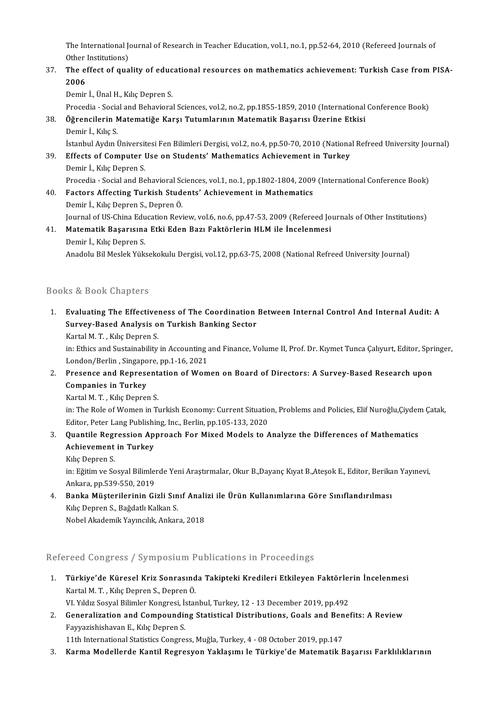The International Journal of Research in Teacher Education, vol.1, no.1, pp.52-64, 2010 (Refereed Journals of<br>Other Institutions) The International Jone<br>Other Institutions)<br>The offect of suc The International Journal of Research in Teacher Education, vol.1, no.1, pp.52-64, 2010 (Refereed Journals of<br>Other Institutions)<br>37. The effect of quality of educational resources on mathematics achievement: Turkish Case

#### Other<br>The ef<br>2006<br><sup>Domin</sup> The effect of quality of educ<br>2006<br>Demir İ., Ünal H., Kılıç Depren S.<br>Prosedia - Sesial and Pebayiera 2006<br>Demir İ., Ünal H., Kılıç Depren S.<br>Procedia - Social and Behavioral Sciences, vol.2, no.2, pp.1855-1859, 2010 (International Conference Book)

Demir İ., Ünal H., Kılıç Depren S.<br>Procedia - Social and Behavioral Sciences, vol.2, no.2, pp.1855-1859, 2010 (International<br>38. Öğrencilerin Matematiğe Karşı Tutumlarının Matematik Başarısı Üzerine Etkisi<br>Demir İ. Kılış S Procedia - Socia<br><mark>Öğrencilerin N</mark><br>Demir İ., Kılıç S.<br>İstanbul Avdu İ Demir İ., Kılıç S.<br>İstanbul Aydın Üniversitesi Fen Bilimleri Dergisi, vol.2, no.4, pp.50-70, 2010 (National Refreed University Journal)

- Demir İ., Kılıç S.<br>İstanbul Aydın Üniversitesi Fen Bilimleri Dergisi, vol.2, no.4, pp.50-70, 2010 (Nationa<br>39. Effects of Computer Use on Students' Mathematics Achievement in Turkey<br>Demir İ. Kılış Depren S. İstanbul Aydın Üniversit<br>Effects of Computer I<br>Demir İ., Kılıç Depren S.<br>Presedia - Sesial and Be Demir İ., Kılıç Depren S.<br>Procedia - Social and Behavioral Sciences, vol.1, no.1, pp.1802-1804, 2009 (International Conference Book)
- 40. Factors Affecting Turkish Students' Achievement in Mathematics Demir İ., Kılıç Depren S., Depren Ö. Factors Affecting Turkish Students' Achievement in Mathematics<br>Demir İ., Kılıç Depren S., Depren Ö.<br>Journal of US-China Education Review, vol.6, no.6, pp.47-53, 2009 (Refereed Journals of Other Institutions)<br>Matamatik Basa Demir İ., Kılıç Depren S., Depren Ö.<br>Journal of US-China Education Review, vol.6, no.6, pp.47-53, 2009 (Refereed Jo<br>41. **Matematik Başarısına Etki Eden Bazı Faktörlerin HLM ile İncelenmesi**<br>Demir İ. Kılış Depren S.
- Journal of US-China Edu<br><mark>Matematik Başarısın</mark>a<br>Demir İ., Kılıç Depren S.<br>Anadalu Bil Maslak Vüla 41. Matematik Başarısına Etki Eden Bazı Faktörlerin HLM ile İncelenmesi<br>Demir İ., Kılıç Depren S.<br>Anadolu Bil Meslek Yüksekokulu Dergisi, vol.12, pp.63-75, 2008 (National Refreed University Journal)

#### Books&Book Chapters

- 1. Evaluating The Effectiveness of The Coordination Between Internal Control And Internal Audit: A to a book emapters<br>Evaluating The Effectiveness of The Coordination<br>Survey-Based Analysis on Turkish Banking Sector Evaluating The Effective<br>Survey-Based Analysis o<br>Kartal M. T. , Kılıç Depren S.<br>in: Ethics and Sustainability
	-

Kartal M. T. , Kılıç Depren S.<br>in: Ethics and Sustainability in Accounting and Finance, Volume II, Prof. Dr. Kıymet Tunca Çalıyurt, Editor, Springer, Kartal M. T. , Kılıç Depren S.<br>in: Ethics and Sustainability in Accounting a<br>London/Berlin , Singapore, pp.1-16, 2021<br>Presense and Penrosentation of Wom

2. Presence and Representation of Women on Board of Directors: A Survey-Based Research upon Companies in Turkey London/Berlin , Singapo<br>Presence and Represe<br>Companies in Turkey<br>Kartal M. T. Kike Depres

Kartal M.T., Kılıç Depren S.

Companies in Turkey<br>Kartal M. T. , Kılıç Depren S.<br>in: The Role of Women in Turkish Economy: Current Situation, Problems and Policies, Elif Nuroğlu,Çiydem Çatak,<br>Editor, Peter Lang Publishing, Ing. Perlin. np.105-122-2020. Kartal M. T. , Kılıç Depren S.<br>in: The Role of Women in Turkish Economy: Current Situatio<br>Editor, Peter Lang Publishing, Inc., Berlin, pp.105-133, 2020<br>Quantile Bogreesian, Annreach For Mived Models to A 3. in: The Role of Women in Turkish Economy: Current Situation, Problems and Policies, Elif Nuroğlu,Çiyder<br>5. Editor, Peter Lang Publishing, Inc., Berlin, pp.105-133, 2020<br>3. Quantile Regression Approach For Mixed Models t

- Editor, Peter Lang Publishi<br>Quantile Regression Ap<br>Achievement in Turkey **Quantile Regi<br>Achievement<br>Kılıç Depren S.<br>in: Eğitim ve So** 
	-

Achievement in Turkey<br>Kılıç Depren S.<br>in: Eğitim ve Sosyal Bilimlerde Yeni Araştırmalar, Okur B.,Dayanç Kıyat B.,Ateşok E., Editor, Berikan Yayınevi, Kılıç Depren S.<br>in: Eğitim ve Sosyal Bilimleı<br>Ankara, pp.539-550, 2019<br>Panka Müstərilərinin Gi in: Eğitim ve Sosyal Bilimlerde Yeni Araştırmalar, Okur B.,Dayanç Kıyat B.,Ateşok E., Editor, Berika<br>Ankara, pp.539-550, 2019<br>4. Banka Müşterilerinin Gizli Sınıf Analizi ile Ürün Kullanımlarına Göre Sınıflandırılması<br>Kılıc

Ankara, pp.539-550, 2019<br>Banka Müşterilerinin Gizli Sınıf Anal:<br>Kılıç Depren S., Bağdatlı Kalkan S.<br>Nobel Akademik Yayıncılık, Ankara, 2018 4. Banka Müşterilerinin Gizli Sınıf Analizi ile Ürün Kullanımlarına Göre Sınıflandırılması

#### Refereed Congress / Symposium Publications in Proceedings

- lefereed Congress / Symposium Publications in Proceedings<br>1. Türkiye'de Küresel Kriz Sonrasında Takipteki Kredileri Etkileyen Faktörlerin İncelenmesi<br>Kartal M.T. Kika Danran S. Danran Ö Türkiye'de Küresel Kriz Sonrasınd<br>Kartal M. T. , Kılıç Depren S., Depren Ö.<br>W. Vıldız Sosual Bilimler Kongresi, İsta Türkiye'de Küresel Kriz Sonrasında Takipteki Kredileri Etkileyen Faktörleı<br>Kartal M. T. , Kılıç Depren S., Depren Ö.<br>VI. Yıldız Sosyal Bilimler Kongresi, İstanbul, Turkey, 12 - 13 December 2019, pp.492<br>Coneralization and C VI. Yıldız Sosyal Bilimler Kongresi, İstanbul, Turkey, 12 - 13 December 2019, pp.492
- Kartal M. T. , Kılıç Depren S., Depren Ö.<br>2. Generalization and Compounding Statistical Distributions, Goals and Benefits: A Review<br>3. Generalization and Compounding Statistical Distributions, Goals and Benefits: A Review<br>

11th International Statistics Congress, Muğla, Turkey, 4 - 08 October 2019, pp.147

3. Karma Modellerde Kantil Regresyon Yaklaşımı le Türkiye'de Matematik Başarısı Farklılıklarının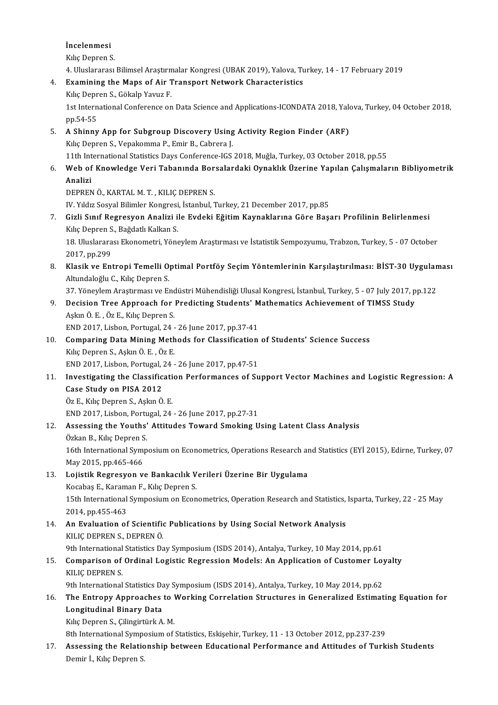## İncelenmesi<br>İncelenmesi<br>Kılıs Denren S İncelenmesi<br>Kılıç Depren S.<br>4. Uluslararesi

Kılıç Depren S.<br>4. Uluslararası Bilimsel Araştırmalar Kongresi (UBAK 2019), Yalova, Turkey, 14 - 17 February 2019

# Kılıç Depren S.<br>4. Uluslararası Bilimsel Araştırmalar Kongresi (UBAK 2019), Yalova, Tu<br>4. Examining the Maps of Air Transport Network Characteristics<br>5. Kılış Danran S. Gölrala Yayıya E

4. Uluslararası Bilimsel Araştırm<br>**Examining the Maps of Air T**<br>Kılıç Depren S., Gökalp Yavuz F.<br>1st International Conference en 1st International Conference on Data Science and Applications-ICONDATA 2018, Yalova, Turkey, 04 October 2018,<br>pp.54-55 Kılıç Depren S., Gökalp Yavuz F.

1st International Conference on Data Science and Applications-ICONDATA 2018, Yale<br>pp.54-55<br>5. A Shinny App for Subgroup Discovery Using Activity Region Finder (ARF)<br>kilo Denren S. Venakomma B. Emir B. Cabrera L pp.54-55<br>**A Shinny App for Subgroup Discovery Using**<br>Kılıç Depren S., Vepakomma P., Emir B., Cabrera J.<br>11th International Statistics Days Conference ICS. A Shinny App for Subgroup Discovery Using Activity Region Finder (ARF)<br>Kılıç Depren S., Vepakomma P., Emir B., Cabrera J.<br>11th International Statistics Days Conference-IGS 2018, Muğla, Turkey, 03 October 2018, pp.55<br>Web of

### Kılıç Depren S., Vepakomma P., Emir B., Cabrera J.<br>11th International Statistics Days Conference-IGS 2018, Muğla, Turkey, 03 October 2018, pp.55<br>6. Web of Knowledge Veri Tabanında Borsalardaki Oynaklık Üzerine Yapılan 11th Int<br>Web of<br>Analizi<br>DEPPEN Web of Knowledge Veri Tabanında Bor<br>Analizi<br>DEPREN Ö., KARTAL M. T. , KILIÇ DEPREN S.<br>W. Yıldız Sosual Bilimler Kongresi, İstanbul 1 Analizi<br>DEPREN Ö., KARTAL M. T. , KILIÇ DEPREN S.<br>IV. Yıldız Sosyal Bilimler Kongresi, İstanbul, Turkey, 21 December 2017, pp.85<br>Gizli Sınıf Bogresyon Analizi ile Eydeki Eğitim Koynaklarına Göre Boss

1990 DEPREN Ö., KARTAL M. T. , KILIÇ DEPREN S.<br>1991 - IV. Yıldız Sosyal Bilimler Kongresi, İstanbul, Turkey, 21 December 2017, pp.85<br>1991 - Gizli Sınıf Regresyon Analizi ile Evdeki Eğitim Kaynaklarına Göre Başarı Profilini IV. Yıldız Sosyal Bilimler Kongresi<br>Gizli Sınıf Regresyon Analizi il<br>Kılıç Depren S., Bağdatlı Kalkan S.<br>19 Uluslaranası Ekonometri Väne Gizli Sınıf Regresyon Analizi ile Evdeki Eğitim Kaynaklarına Göre Başarı Profilinin Belirlenmesi<br>Kılıç Depren S., Bağdatlı Kalkan S.<br>18. Uluslararası Ekonometri, Yöneylem Araştırması ve İstatistik Sempozyumu, Trabzon, Turk

Kılıç Depren S<br>18. Uluslarara<br>2017, pp.299<br>Klasik ve Ent 8. Uluslararası Ekonometri, Yöneylem Araştırması ve İstatistik Sempozyumu, Trabzon, Turkey, 5 - 07 October<br>2017, pp.299<br>8. Klasik ve Entropi Temelli Optimal Portföy Seçim Yöntemlerinin Karşılaştırılması: BİST-30 Uygulaması

2017, pp.299<br><mark>Klasik ve Entropi Temelli O</mark><br>Altundaloğlu C., Kılıç Depren S.<br><sup>27. Vänevlem Arestumesu ve Er</sub></sup> Klasik ve Entropi Temelli Optimal Portföy Seçim Yöntemlerinin Karşılaştırılması: BİST-30 Uygulan<br>Altundaloğlu C., Kılıç Depren S.<br>37. Yöneylem Araştırması ve Endüstri Mühendisliği Ulusal Kongresi, İstanbul, Turkey, 5 - 07

Altundaloğlu C., Kılıç Depren S.<br>17. Yöneylem Araştırması ve Endüstri Mühendisliği Ulusal Kongresi, İstanbul, Turkey, 5 - 07 July 2017, pp.122<br>19. Decision Tree Approach for Predicting Students' Mathematics Achievement

#### AşkınÖ.E. ,ÖzE.,KılıçDeprenS. Decision Tree Approach for Predicting Students' M<br>Aşkın Ö. E. , Öz E., Kılıç Depren S.<br>END 2017, Lisbon, Portugal, 24 - 26 June 2017, pp.37-41<br>Comparing Data Mining Methods for Classification Aşkın Ö. E. , Öz E., Kılıç Depren S.<br>END 2017, Lisbon, Portugal, 24 - 26 June 2017, pp.37-41<br>10. Comparing Data Mining Methods for Classification of Students' Science Success<br>Kuls Depren S. Askun Ö. E. Öz E.

END 2017, Lisbon, Portugal, 24 -<br>**Comparing Data Mining Meth**<br>Kılıç Depren S., Aşkın Ö. E. , Öz E.<br>END 2017, Lisbon Bortugal, 24 Comparing Data Mining Methods for Classification<br>Kılıç Depren S., Aşkın Ö. E. , Öz E.<br>END 2017, Lisbon, Portugal, 24 - 26 June 2017, pp.47-51<br>Investigating the Classification Berformanees of Su Kılıç Depren S., Aşkın Ö. E. , Öz E.<br>11. Investigating the Classification Performances of Support Vector Machines and Logistic Regression: A<br>2012. Gase Study on PISA 2012

### END 2017, Lisbon, Portugal, J<br>Investigating the Classific<br>Case Study on PISA 2012 Investigating the Classificati<br>Case Study on PISA 2012<br>Öz E., Kılıç Depren S., Aşkın Ö. E.<br>END 2017 Lisbon Bortugal 24 Case Study on PISA 2012<br>Öz E., Kılıç Depren S., Aşkın Ö. E.<br>END 2017, Lisbon, Portugal, 24 - 26 June 2017, pp.27-31

#### Öz E., Kılıç Depren S., Aşkın Ö. E.<br>12. Assessing the Youths' Attitudes Toward Smoking Using Latent Class Analysis<br>12. Assessing the Youths' Attitudes Toward Smoking Using Latent Class Analysis END 2017, Lisbon, Portu<br>Assessing the Youths'<br>Özkan B., Kılıç Depren S.<br>16th International Sumn Özkan B., Kılıç Depren S.

16th International Symposium on Econometrics, Operations Research and Statistics (EYİ 2015), Edirne, Turkey, 07<br>May 2015, pp.465-466 16th International Symposium on Econometrics, Operations Research an<br>May 2015, pp.465-466<br>13. Lojistik Regresyon ve Bankacılık Verileri Üzerine Bir Uygulama<br>Kesebes E. Karaman E. Kika Danran S.

# May 2015, pp.465-466<br><mark>Lojistik Regresyon ve Bankacılık V</mark><br>Kocabaş E., Karaman F., Kılıç Depren S.<br>15th International Sumpesium en Esen

Lojistik Regresyon ve Bankacılık Verileri Üzerine Bir Uygulama<br>Kocabaş E., Karaman F., Kılıç Depren S.<br>15th International Symposium on Econometrics, Operation Research and Statistics, Isparta, Turkey, 22 - 25 May<br>2014. pp. Kocabaş E., Karama<br>15th International<br>2014, pp.455-463<br>An Evaluation of 15th International Symposium on Econometrics, Operation Research and Statistics,<br>2014, pp.455-463<br>14. An Evaluation of Scientific Publications by Using Social Network Analysis<br>2016 CULC DEPRENS DERREN Ö

## 2014, pp.455-463<br>14. An Evaluation of Scientific Publications by Using Social Network Analysis<br>KILIÇ DEPREN S., DEPRENÖ. An Evaluation of Scientific Publications by Using Social Network Analysis<br>KILIÇ DEPREN S., DEPREN Ö.<br>9th International Statistics Day Symposium (ISDS 2014), Antalya, Turkey, 10 May 2014, pp.61<br>Comparison of Ordinal Logisti

## KILIÇ DEPREN S., DEPREN Ö.<br>15. Comparison of Ordinal Logistic Regression Models: An Application of Customer Loyalty<br>2014, PEPPEN S. 9th International<br>Comparison of<br>KILIÇ DEPREN S.<br><sup>Oth International</sub></sup> Comparison of Ordinal Logistic Regression Models: An Application of Customer Loy<br>KILIÇ DEPREN S.<br>9th International Statistics Day Symposium (ISDS 2014), Antalya, Turkey, 10 May 2014, pp.62<br>The Entrony Annreaches to Werking

## KILIÇ DEPREN S.<br>16. The Entropy Approaches to Working Correlation Structures in Generalized Estimating Equation for<br>16. The Entropy Approaches to Working Correlation Structures in Generalized Estimating Equation for 9th International Statistics Day Symposium (ISDS 2014), Antalya, Turkey, 10 May 2014, pp.62<br>The Entropy Approaches to Working Correlation Structures in Generalized Estima<br>Longitudinal Binary Data<br>Kılıç Depren S., Çilingirt The Entropy Approaches to V<br>Longitudinal Binary Data<br>Kılıç Depren S., Çilingirtürk A. M.<br><sup>9th Intonational Sumnasium of</sup>

8th International Symposium of Statistics, Eskişehir, Turkey, 11 - 13 October 2012, pp.237-239

#### 17. Assessing the Relationship between Educational Performance and Attitudes of Turkish Students Demir İ., Kılıç Depren S.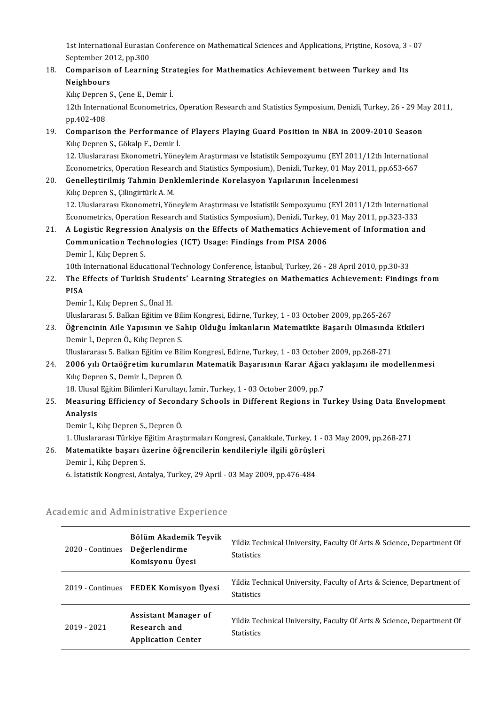1st International Eurasian Conference on Mathematical Sciences and Applications, Priştine, Kosova, 3 - 07<br>September 2012, pp.200 1st International Eurasian<br>September 2012, pp.300<br>Comparison of Leornis 1st International Eurasian Conference on Mathematical Sciences and Applications, Pristine, Kosova, 3<br>September 2012, pp.300<br>18. Comparison of Learning Strategies for Mathematics Achievement between Turkey and Its<br>Neighbour

## September 2012, pp.300<br>18. Comparison of Learning Strategies for Mathematics Achievement between Turkey and Its<br>Neighbours

KılıçDeprenS.,ÇeneE.,Demir İ.

12th International Econometrics, Operation Research and Statistics Symposium, Denizli, Turkey, 26 - 29 May 2011, pp.402-408 12th International Econometrics, Operation Research and Statistics Symposium, Denizli, Turkey, 26 - 29 Ma<br>pp.402-408<br>**Comparison the Performance of Players Playing Guard Position in NBA in 2009-2010 Season**<br>kills Denren S.

## pp.402-408<br>**Comparison the Performance**<br>Kılıç Depren S., Gökalp F., Demir İ.<br>12. Uluslararası Ekanomatri, Yöne 12. Comparison the Performance of Players Playing Guard Position in NBA in 2009-2010 Season<br>12. Uluslararası Ekonometri, Yöneylem Araştırması ve İstatistik Sempozyumu (EYİ 2011/12th International<br>Esenemetriss Operation Bes

Kılıç Depren S., Gökalp F., Demir İ.<br>12. Uluslararası Ekonometri, Yöneylem Araştırması ve İstatistik Sempozyumu (EYİ 2011/12th Internatior<br>Econometrics, Operation Research and Statistics Symposium), Denizli, Turkey, 01 May 12. Uluslararası Ekonometri, Yöneylem Araştırması ve İstatistik Sempozyumu (EYİ 2011<br>Econometrics, Operation Research and Statistics Symposium), Denizli, Turkey, 01 May 2<br>20. Genelleştirilmiş Tahmin Denklemlerinde Korelasy

## Econometrics, Operation Research and Statistics Symposium), Denizli, Turkey, 01 May 2011, pp.653-667<br>20. Genelleştirilmiş Tahmin Denklemlerinde Korelasyon Yapılarının İncelenmesi<br>Kılıç Depren S., Çilingirtürk A. M. Genelleştirilmiş Tahmin Denklemlerinde Korelasyon Yapılarının İncelenmesi<br>Kılıç Depren S., Çilingirtürk A. M.<br>12. Uluslararası Ekonometri, Yöneylem Araştırması ve İstatistik Sempozyumu (EYİ 2011/12th International<br>Esenemet

Kılıç Depren S., Çilingirtürk A. M.<br>12. Uluslararası Ekonometri, Yöneylem Araştırması ve İstatistik Sempozyumu (EYİ 2011/12th Internation<br>Econometrics, Operation Research and Statistics Symposium), Denizli, Turkey, 01 May 12. Uluslararası Ekonometri, Yöneylem Araştırması ve İstatistik Sempozyumu (EYİ 2011/12th International<br>Econometrics, Operation Research and Statistics Symposium), Denizli, Turkey, 01 May 2011, pp.323-333<br>21. A Logistic Re

## Econometrics, Operation Research and Statistics Symposium), Denizli, Turkey,<br>A Logistic Regression Analysis on the Effects of Mathematics Achieve<br>Communication Technologies (ICT) Usage: Findings from PISA 2006<br>Demin LKke D **A Logistic Regression<br>Communication Tech**<br>Demir İ., Kılıç Depren S.<br>10th International Edua

Demir İ., Kılıç Depren S.<br>10th International Educational Technology Conference, İstanbul, Turkey, 26 - 28 April 2010, pp.30-33

Demir İ., Kılıç Depren S.<br>10th International Educational Technology Conference, İstanbul, Turkey, 26 - 28 April 2010, pp.30-33<br>22. The Effects of Turkish Students' Learning Strategies on Mathematics Achievement: Findin 10th I<br>The E<br>PISA<br>Domin The Effects of Turkish Stude<br>PISA<br>Demir İ., Kılıç Depren S., Ünal H.<br>Hluclararası 5. Ballıan Fğitim ve PISA<br>Demir İ., Kılıç Depren S., Ünal H.<br>Uluslararası 5. Balkan Eğitim ve Bilim Kongresi, Edirne, Turkey, 1 - 03 October 2009, pp.265-267<br>Öğrenginin Aile Yanısının ve Sabin Olduğu İmkanların Matematikte Basarılı Olmasında

Demir İ., Kılıç Depren S., Ünal H.<br>Uluslararası 5. Balkan Eğitim ve Bilim Kongresi, Edirne, Turkey, 1 - 03 October 2009, pp.265-267<br>23. Öğrencinin Aile Yapısının ve Sahip Olduğu İmkanların Matematikte Başarılı Olmasında Et Uluslararası 5. Balkan Eğitim ve Bil<br><mark>Öğrencinin Aile Yapısının ve Sa</mark><br>Demir İ., Depren Ö., Kılıç Depren S.<br>Uluslararası 5. Balkan Eğitim ve Bil Öğrencinin Aile Yapısının ve Sahip Olduğu İmkanların Matematikte Başarılı Olmasında<br>Demir İ., Depren Ö., Kılıç Depren S.<br>Uluslararası 5. Balkan Eğitim ve Bilim Kongresi, Edirne, Turkey, 1 - 03 October 2009, pp.268-271<br>2006

## Demir İ., Depren Ö., Kılıç Depren S.<br>Uluslararası 5. Balkan Eğitim ve Bilim Kongresi, Edirne, Turkey, 1 - 03 October 2009, pp.268-271<br>24. 2006 yılı Ortaöğretim kurumların Matematik Başarısının Karar Ağacı yaklaşımı ile Uluslararası 5. Balkan Eğitim ve Bil<br>**2006 yılı Ortaöğretim kurumla**:<br>Kılıç Depren S., Demir İ., Depren Ö.<br>19. Ulucal Eğitim Bilimleri Kurultay 2006 yılı Ortaöğretim kurumların Matematik Başarısının Karar Ağac<br>Kılıç Depren S., Demir İ., Depren Ö.<br>18. Ulusal Eğitim Bilimleri Kurultayı, İzmir, Turkey, 1 - 03 October 2009, pp.7<br>Messuring Efficioney of Sesondary Saboo

### Kılıç Depren S., Demir İ., Depren Ö.<br>18. Ulusal Eğitim Bilimleri Kurultayı, İzmir, Turkey, 1 - 03 October 2009, pp.7<br>25. Measuring Efficiency of Secondary Schools in Different Regions in Turkey Using Data Envelopment<br>A 18. Ulusal Eğitim Bilimleri Kurultayı, İzmir, Turkey, 1 - 03 October 2009, pp.7<br>Measuring Efficiency of Secondary Schools in Different Regions in 1<br>Analysis<br>Demir İ., Kılıç Depren S., Depren Ö. Measuring Efficiency of Second<br>Analysis<br>Demir İ., Kılıç Depren S., Depren Ö.<br>1. Hluslarares: Türkiye Eğitim Aras Analysis<br>Demir İ., Kılıç Depren S., Depren Ö.<br>1. Uluslararası Türkiye Eğitim Araştırmaları Kongresi, Çanakkale, Turkey, 1 - 03 May 2009, pp.268-271<br>Matamatikta basanı üzerine öğrencilerin kondileriyle ilgili görüşleri

#### 1. Matematikte başarı S., Depren Ö.<br>26. Matematikte başarı üzerine öğrencilerin kendileriyle ilgili görüşleri<br>26. Matematikte başarı üzerine öğrencilerin kendileriyle ilgili görüşleri<br>Demir İ. Kılış Depren S. 1. Uluslararası Türkiye I<br>Matematikte başarı ü<br>Demir İ., Kılıç Depren S. Matematikte başarı üzerine öğrencilerin kendileriyle ilgili görüşleri<br>Demir İ., Kılıç Depren S.<br>6. İstatistik Kongresi, Antalya, Turkey, 29 April - 03 May 2009, pp.476-484

| ademic and Administrative Experience |                                                                   |                                                                                            |  |  |
|--------------------------------------|-------------------------------------------------------------------|--------------------------------------------------------------------------------------------|--|--|
| 2020 - Continues                     | Bölüm Akademik Teşvik<br>Değerlendirme<br>Komisyonu Üyesi         | Yildiz Technical University, Faculty Of Arts & Science, Department Of<br><b>Statistics</b> |  |  |
|                                      | 2019 Continues FEDEK Komisyon Üyesi                               | Yildiz Technical University, Faculty of Arts & Science, Department of<br><b>Statistics</b> |  |  |
| 2019 - 2021                          | Assistant Manager of<br>Research and<br><b>Application Center</b> | Yildiz Technical University, Faculty Of Arts & Science, Department Of<br><b>Statistics</b> |  |  |

# o. islausuk Kongresi, Anlaiya, Turkey, 29 April - l<br>Academic and Administrative Experience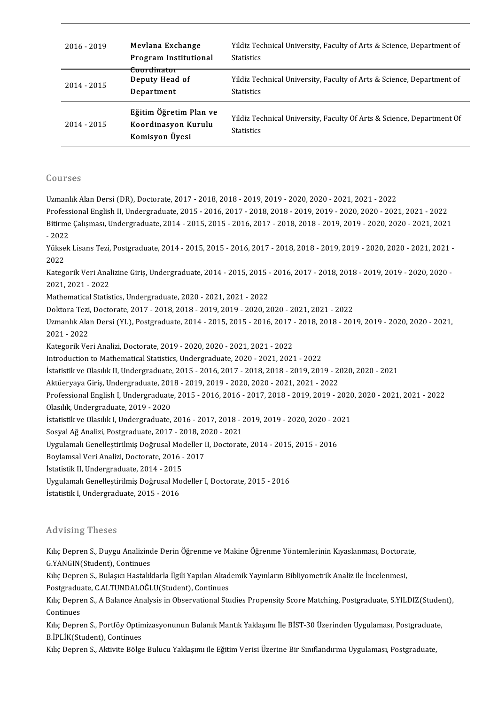| 2016 - 2019 | Mevlana Exchange<br>Program Institutional                       | Yildiz Technical University, Faculty of Arts & Science, Department of<br><b>Statistics</b> |
|-------------|-----------------------------------------------------------------|--------------------------------------------------------------------------------------------|
| 2014 - 2015 | Coordinator<br>Deputy Head of<br>Department                     | Yildiz Technical University, Faculty of Arts & Science, Department of<br><b>Statistics</b> |
| 2014 - 2015 | Eğitim Öğretim Plan ve<br>Koordinasyon Kurulu<br>Komisyon Üyesi | Yildiz Technical University, Faculty Of Arts & Science, Department Of<br><b>Statistics</b> |

#### Courses

UzmanlıkAlanDersi (DR),Doctorate,2017-2018,2018-2019,2019-2020,2020-2021,2021-2022

Professional English II, Undergraduate, 2015 - 2016, 2017 - 2018, 2018 - 2019, 2019 - 2020, 2020 - 2021, 2021 - 2022 Uzmanlık Alan Dersi (DR), Doctorate, 2017 - 2018, 2018 - 2019, 2019 - 2020, 2020 - 2021, 2021 - 2022<br>Professional English II, Undergraduate, 2015 - 2016, 2017 - 2018, 2018 - 2019, 2019 - 2020, 2020 - 2021, 2021<br>Bitirme Çal Profess<br>Bitirme<br>- 2022<br><sup>Vülssels</sup> Bitirme Çalışması, Undergraduate, 2014 - 2015, 2015 - 2016, 2017 - 2018, 2018 - 2019, 2019 - 2020, 2020 - 2021, 2021<br>- 2022<br>Yüksek Lisans Tezi, Postgraduate, 2014 - 2015, 2015 - 2016, 2017 - 2018, 2018 - 2019, 2019 - 2020,

- 2022<br>Yükse<br>2022<br>Katagı Yüksek Lisans Tezi, Postgraduate, 2014 - 2015, 2015 - 2016, 2017 - 2018, 2018 - 2019, 2019 - 2020, 2020 - 2021, 2021<br>2022<br>Kategorik Veri Analizine Giriş, Undergraduate, 2014 - 2015, 2015 - 2016, 2017 - 2018, 2018 - 2019, 2

2022<br>Kategorik Veri Analizine Giriş, Undergraduate, 2014 - 2015, 2015 - 2016, 2017 - 2018, 2018 - 2019, 2019 - 2020, 2020 -<br>2021, 2021 - 2022 2021, 2021 - 2022<br>Mathematical Statistics, Undergraduate, 2020 - 2021, 2021 - 2022<br>Doktora Tezi, Doctorate, 2017 - 2018, 2018 - 2019, 2019 - 2020, 2020 - 2021, 2021 - 2022<br>Uzmanlık Alan Darsi (YL), Pestanadusta 2014, 2015,

Mathematical Statistics, Undergraduate, 2020 - 2021, 2021 - 2022

Uzmanlık Alan Dersi (YL), Postgraduate, 2014 - 2015, 2015 - 2016, 2017 - 2018, 2018 - 2019, 2019 - 2020, 2020 - 2021,<br>2021 - 2022 Doktora Tezi,<br>Uzmanlık Ala<br>2021 - 2022<br>Katasarik Ve Uzmanlık Alan Dersi (YL), Postgraduate, 2014 - 2015, 2015 - 2016, 2017<br>2021 - 2022<br>Kategorik Veri Analizi, Doctorate, 2019 - 2020, 2020 - 2021, 2021 - 2022<br>Introduction to Mathematical Statistics Undergraduate, 2020, 2021, 2021 - 2022<br>Kategorik Veri Analizi, Doctorate, 2019 - 2020, 2020 - 2021, 2021 - 2022<br>Introduction to Mathematical Statistics, Undergraduate, 2020 - 2021, 2021 - 2022<br>Istatistik ve Olasilik II Undergraduate, 2015 - 2016, 20

Kategorik Veri Analizi, Doctorate, 2019 - 2020, 2020 - 2021, 2021 - 2022<br>Introduction to Mathematical Statistics, Undergraduate, 2020 - 2021, 2021 - 2022<br>İstatistik ve Olasılık II, Undergraduate, 2015 - 2016, 2017 - 2018, Introduction to Mathematical Statistics, Undergraduate, 2020 - 2021, 2021 - 2022<br>İstatistik ve Olasılık II, Undergraduate, 2015 - 2016, 2017 - 2018, 2018 - 2019, 2019 - 20<br>Aktüeryaya Giriş, Undergraduate, 2018 - 2019, 2019

İstatistik ve Olasılık II, Undergraduate, 2015 - 2016, 2017 - 2018, 2018 - 2019, 2019 - 2020, 2020 - 2021<br>Aktüeryaya Giriş, Undergraduate, 2018 - 2019, 2019 - 2020, 2020 - 2021, 2021 - 2022<br>Professional English I, Undergra Aktüeryaya Giriş, Undergraduate, 2018 - 2019, 2019 - 2020, 2020 - 2021, 2021 - 2022<br>Professional English I, Undergraduate, 2015 - 2016, 2016 - 2017, 2018 - 2019, 2019 - 2<br>Olasılık, Undergraduate, 2019 - 2020 Professional English I, Undergraduate, 2015 - 2016, 2016 - 2017, 2018 - 2019, 2019 - 2020<br>Olasılık, Undergraduate, 2019 - 2020<br>İstatistik ve Olasılık I, Undergraduate, 2016 - 2017, 2018 - 2019, 2019 - 2020, 2020 - 2021<br>Ses

Olasılık, Undergraduate, 2019 - 2020<br>İstatistik ve Olasılık I, Undergraduate, 2016 - 2017, 2018 - 2<br>Sosyal Ağ Analizi, Postgraduate, 2017 - 2018, 2020 - 2021<br>Urgulamalı Conellestirilmiş Doğrusal Modeller II, Dosterats İstatistik ve Olasılık I, Undergraduate, 2016 - 2017, 2018 - 2019, 2019 - 2020, 2020 - 20<br>Sosyal Ağ Analizi, Postgraduate, 2017 - 2018, 2020 - 2021<br>Uygulamalı Genelleştirilmiş Doğrusal Modeller II, Doctorate, 2014 - 2015,

Sosyal Ağ Analizi, Postgraduate, 2017 - 2018, 20<br>Uygulamalı Genelleştirilmiş Doğrusal Modeller I<br>Boylamsal Veri Analizi, Doctorate, 2016 - 2017<br>İstatistik II. Undergraduate, 2014, -2015 Uygulamalı Genelleştirilmiş Doğrusal Mo<br>Boylamsal Veri Analizi, Doctorate, 2016 -<br>İstatistik II, Undergraduate, 2014 - 2015<br>Huzulamalı Canallestirilmiş Doğrusal Mo

İstatistik II, Undergraduate, 2014 - 2015

Boylamsal Veri Analizi, Doctorate, 2016 - 2017<br>İstatistik II, Undergraduate, 2014 - 2015<br>Uygulamalı Genelleştirilmiş Doğrusal Modeller I, Doctorate, 2015 - 2016<br>İstatistik I, Undergraduate, 2015 - 2016

#### Advising Theses

Advising Theses<br>Kılıç Depren S., Duygu Analizinde Derin Öğrenme ve Makine Öğrenme Yöntemlerinin Kıyaslanması, Doctorate,<br>G.YANGIN(Student), Continues ra vising Theses<br>Kılıç Depren S., Duygu Analizino<br>G.YANGIN(Student), Continues<br>Kılış Doppan S. Bulasısı Hastalıl Kılıç Depren S., Duygu Analizinde Derin Öğrenme ve Makine Öğrenme Yöntemlerinin Kıyaslanması, Doctora<br>G.YANGIN(Student), Continues<br>Kılıç Depren S., Bulaşıcı Hastalıklarla İlgili Yapılan Akademik Yayınların Bibliyometrik An

G.YANGIN(Student), Continues<br>Kılıç Depren S., Bulaşıcı Hastalıklarla İlgili Yapılan Akademik Yayınların Bibliyometrik Analiz ile İncelenmesi,

Kılıç Depren S., Bulaşıcı Hastalıklarla İlgili Yapılan Akademik Yayınların Bibliyometrik Analiz ile İncelenmesi,<br>Postgraduate, C.ALTUNDALOĞLU(Student), Continues<br>Kılıç Depren S., A Balance Analysis in Observational Studies Postgraduate, C.ALTUNDALOĞLU(Student), Continues<br>Kılıç Depren S., A Balance Analysis in Observational Stı<br>Continues Kılıç Depren S., A Balance Analysis in Observational Studies Propensity Score Matching, Postgraduate, S.YILDIZ(Studen<br>Continues<br>Kılıç Depren S., Portföy Optimizasyonunun Bulanık Mantık Yaklaşımı İle BİST-30 Üzerinden Uygul

Kılıç Depren S., Portföy Optimizasyonunun Bulanık Mantık Yaklaşımı İle BİST-30 Üzerinden Uygulaması, Postgraduate,<br>B.İPLİK(Student), Continues

Kılıç Depren S., Aktivite Bölge Bulucu Yaklaşımı ile Eğitim Verisi Üzerine Bir Sınıflandırma Uygulaması, Postgraduate,